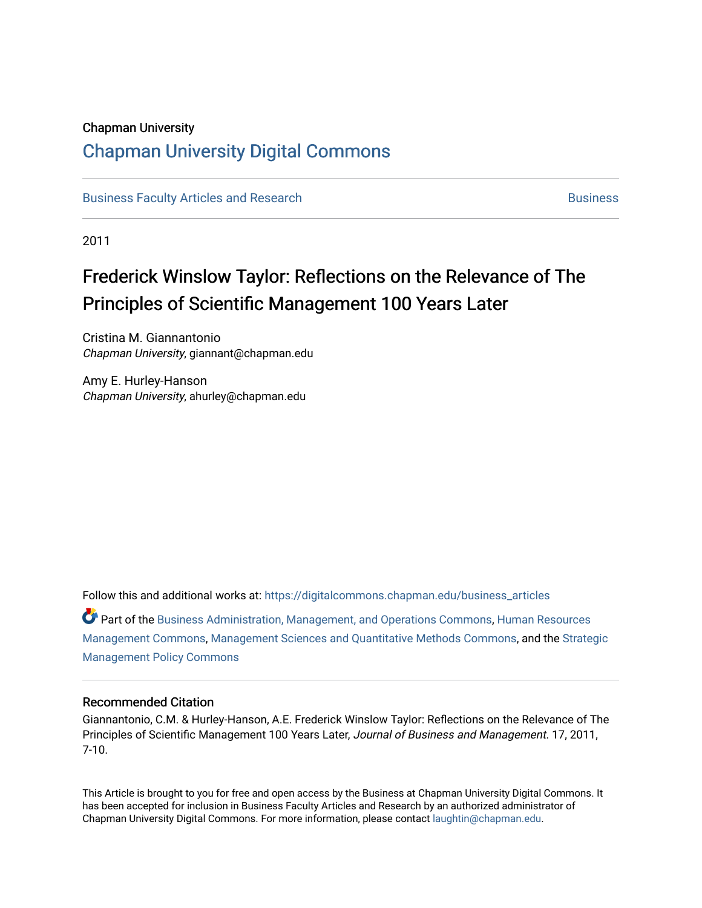### Chapman University

## [Chapman University Digital Commons](https://digitalcommons.chapman.edu/)

[Business Faculty Articles and Research](https://digitalcommons.chapman.edu/business_articles) [Business](https://digitalcommons.chapman.edu/business) **Business** Business

2011

## Frederick Winslow Taylor: Reflections on the Relevance of The Principles of Scientific Management 100 Years Later

Cristina M. Giannantonio Chapman University, giannant@chapman.edu

Amy E. Hurley-Hanson Chapman University, ahurley@chapman.edu

Follow this and additional works at: [https://digitalcommons.chapman.edu/business\\_articles](https://digitalcommons.chapman.edu/business_articles?utm_source=digitalcommons.chapman.edu%2Fbusiness_articles%2F38&utm_medium=PDF&utm_campaign=PDFCoverPages)  Part of the [Business Administration, Management, and Operations Commons](http://network.bepress.com/hgg/discipline/623?utm_source=digitalcommons.chapman.edu%2Fbusiness_articles%2F38&utm_medium=PDF&utm_campaign=PDFCoverPages), [Human Resources](http://network.bepress.com/hgg/discipline/633?utm_source=digitalcommons.chapman.edu%2Fbusiness_articles%2F38&utm_medium=PDF&utm_campaign=PDFCoverPages) [Management Commons](http://network.bepress.com/hgg/discipline/633?utm_source=digitalcommons.chapman.edu%2Fbusiness_articles%2F38&utm_medium=PDF&utm_campaign=PDFCoverPages), [Management Sciences and Quantitative Methods Commons,](http://network.bepress.com/hgg/discipline/637?utm_source=digitalcommons.chapman.edu%2Fbusiness_articles%2F38&utm_medium=PDF&utm_campaign=PDFCoverPages) and the [Strategic](http://network.bepress.com/hgg/discipline/642?utm_source=digitalcommons.chapman.edu%2Fbusiness_articles%2F38&utm_medium=PDF&utm_campaign=PDFCoverPages)  [Management Policy Commons](http://network.bepress.com/hgg/discipline/642?utm_source=digitalcommons.chapman.edu%2Fbusiness_articles%2F38&utm_medium=PDF&utm_campaign=PDFCoverPages) 

#### Recommended Citation

Giannantonio, C.M. & Hurley-Hanson, A.E. Frederick Winslow Taylor: Reflections on the Relevance of The Principles of Scientific Management 100 Years Later, Journal of Business and Management. 17, 2011, 7-10.

This Article is brought to you for free and open access by the Business at Chapman University Digital Commons. It has been accepted for inclusion in Business Faculty Articles and Research by an authorized administrator of Chapman University Digital Commons. For more information, please contact [laughtin@chapman.edu](mailto:laughtin@chapman.edu).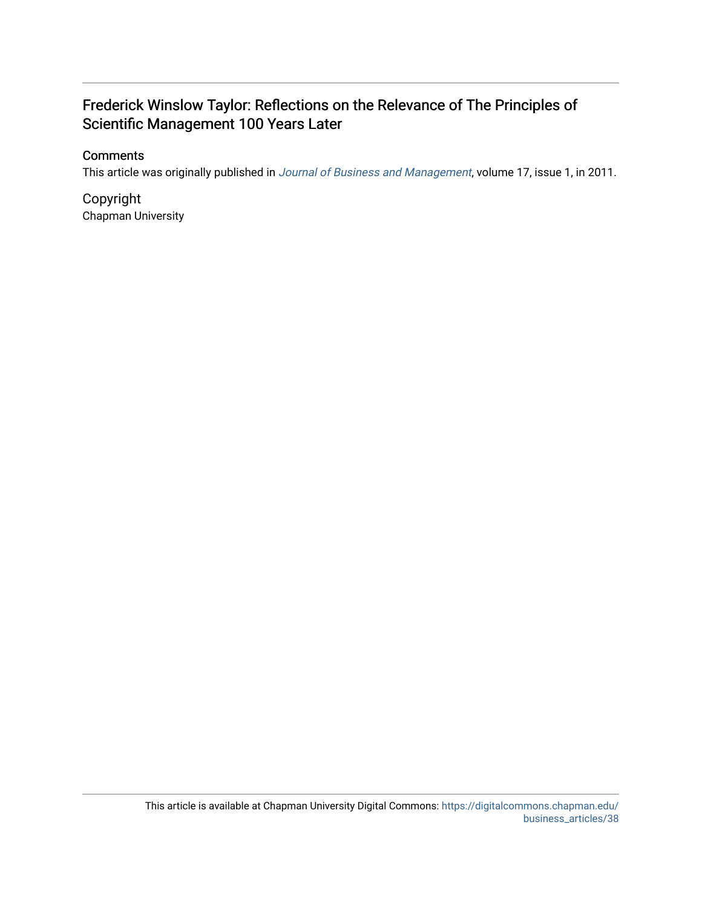## Frederick Winslow Taylor: Reflections on the Relevance of The Principles of Scientific Management 100 Years Later

## **Comments**

This article was originally published in [Journal of Business and Management](https://www.chapman.edu/business/faculty-research/journals-and-essays/index.aspx), volume 17, issue 1, in 2011.

Copyright Chapman University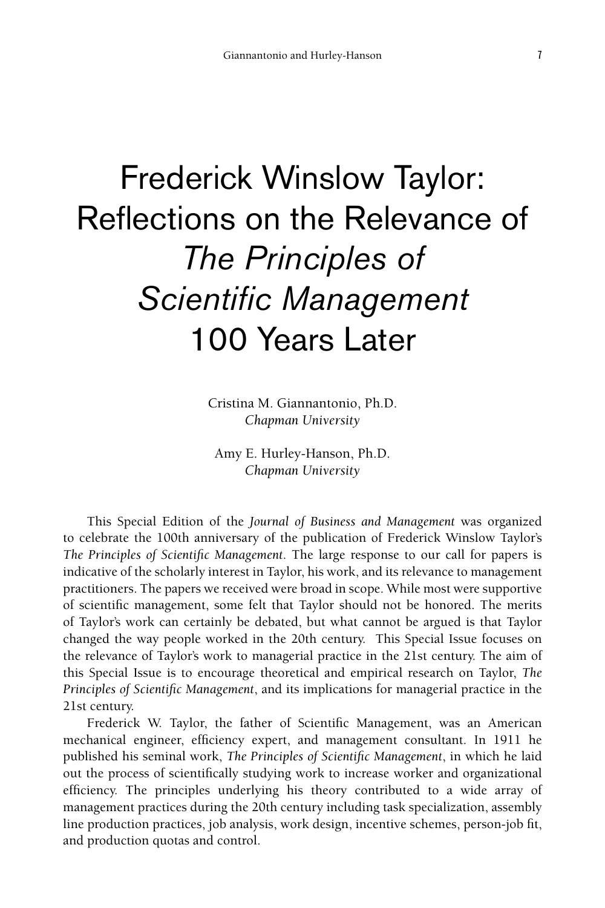# Frederick Winslow Taylor: Reflections on the Relevance of *The Principles of Scientific Management* 100 Years Later

Cristina M. Giannantonio, Ph.D. *Chapman University* 

Amy E. Hurley-Hanson, Ph.D. *Chapman University*

This Special Edition of the *Journal of Business and Management* was organized to celebrate the 100th anniversary of the publication of Frederick Winslow Taylor's *The Principles of Scientific Management*. The large response to our call for papers is indicative of the scholarly interest in Taylor, his work, and its relevance to management practitioners. The papers we received were broad in scope. While most were supportive of scientific management, some felt that Taylor should not be honored. The merits of Taylor's work can certainly be debated, but what cannot be argued is that Taylor changed the way people worked in the 20th century. This Special Issue focuses on the relevance of Taylor's work to managerial practice in the 21st century. The aim of this Special Issue is to encourage theoretical and empirical research on Taylor, *The Principles of Scientific Management*, and its implications for managerial practice in the 21st century.

Frederick W. Taylor, the father of Scientific Management, was an American mechanical engineer, efficiency expert, and management consultant. In 1911 he published his seminal work, *The Principles of Scientific Management*, in which he laid out the process of scientifically studying work to increase worker and organizational efficiency. The principles underlying his theory contributed to a wide array of management practices during the 20th century including task specialization, assembly line production practices, job analysis, work design, incentive schemes, person-job fit, and production quotas and control.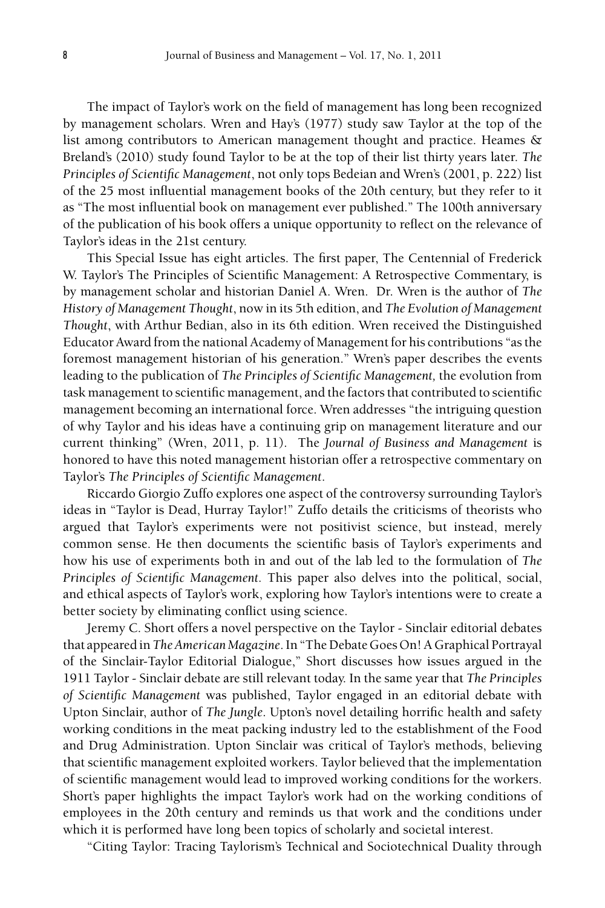The impact of Taylor's work on the field of management has long been recognized by management scholars. Wren and Hay's (1977) study saw Taylor at the top of the list among contributors to American management thought and practice. Heames & Breland's (2010) study found Taylor to be at the top of their list thirty years later. *The Principles of Scientific Management*, not only tops Bedeian and Wren's (2001, p. 222) list of the 25 most influential management books of the 20th century, but they refer to it as "The most influential book on management ever published." The 100th anniversary of the publication of his book offers a unique opportunity to reflect on the relevance of Taylor's ideas in the 21st century.

This Special Issue has eight articles. The first paper, The Centennial of Frederick W. Taylor's The Principles of Scientific Management: A Retrospective Commentary, is by management scholar and historian Daniel A. Wren. Dr. Wren is the author of *The History of Management Thought*, now in its 5th edition, and *The Evolution of Management Thought*, with Arthur Bedian, also in its 6th edition. Wren received the Distinguished Educator Award from the national Academy of Management for his contributions "as the foremost management historian of his generation." Wren's paper describes the events leading to the publication of *The Principles of Scientific Management,* the evolution from task management to scientific management, and the factors that contributed to scientific management becoming an international force. Wren addresses "the intriguing question of why Taylor and his ideas have a continuing grip on management literature and our current thinking" (Wren, 2011, p. 11). The *Journal of Business and Management* is honored to have this noted management historian offer a retrospective commentary on Taylor's *The Principles of Scientific Management*.

Riccardo Giorgio Zuffo explores one aspect of the controversy surrounding Taylor's ideas in "Taylor is Dead, Hurray Taylor!" Zuffo details the criticisms of theorists who argued that Taylor's experiments were not positivist science, but instead, merely common sense. He then documents the scientific basis of Taylor's experiments and how his use of experiments both in and out of the lab led to the formulation of *The Principles of Scientific Management.* This paper also delves into the political, social, and ethical aspects of Taylor's work, exploring how Taylor's intentions were to create a better society by eliminating conflict using science.

Jeremy C. Short offers a novel perspective on the Taylor - Sinclair editorial debates that appeared in *The American Magazine*. In "The Debate Goes On! A Graphical Portrayal of the Sinclair-Taylor Editorial Dialogue," Short discusses how issues argued in the 1911 Taylor - Sinclair debate are still relevant today. In the same year that *The Principles of Scientific Management* was published, Taylor engaged in an editorial debate with Upton Sinclair, author of *The Jungle*. Upton's novel detailing horrific health and safety working conditions in the meat packing industry led to the establishment of the Food and Drug Administration. Upton Sinclair was critical of Taylor's methods, believing that scientific management exploited workers. Taylor believed that the implementation of scientific management would lead to improved working conditions for the workers. Short's paper highlights the impact Taylor's work had on the working conditions of employees in the 20th century and reminds us that work and the conditions under which it is performed have long been topics of scholarly and societal interest.

"Citing Taylor: Tracing Taylorism's Technical and Sociotechnical Duality through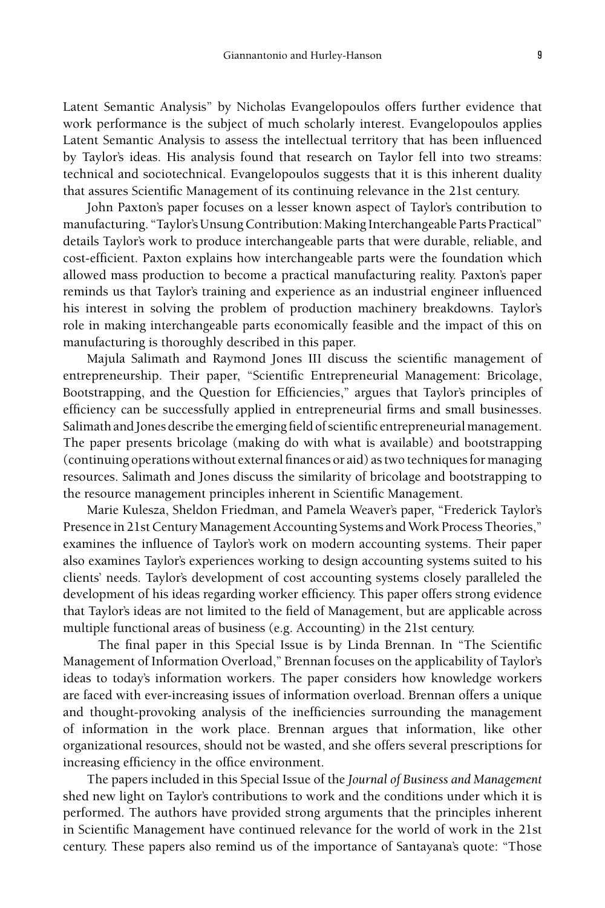Latent Semantic Analysis" by Nicholas Evangelopoulos offers further evidence that work performance is the subject of much scholarly interest. Evangelopoulos applies Latent Semantic Analysis to assess the intellectual territory that has been influenced by Taylor's ideas. His analysis found that research on Taylor fell into two streams: technical and sociotechnical. Evangelopoulos suggests that it is this inherent duality that assures Scientific Management of its continuing relevance in the 21st century.

John Paxton's paper focuses on a lesser known aspect of Taylor's contribution to manufacturing. "Taylor's Unsung Contribution: Making Interchangeable Parts Practical" details Taylor's work to produce interchangeable parts that were durable, reliable, and cost-efficient. Paxton explains how interchangeable parts were the foundation which allowed mass production to become a practical manufacturing reality. Paxton's paper reminds us that Taylor's training and experience as an industrial engineer influenced his interest in solving the problem of production machinery breakdowns. Taylor's role in making interchangeable parts economically feasible and the impact of this on manufacturing is thoroughly described in this paper.

Majula Salimath and Raymond Jones III discuss the scientific management of entrepreneurship. Their paper, "Scientific Entrepreneurial Management: Bricolage, Bootstrapping, and the Question for Efficiencies," argues that Taylor's principles of efficiency can be successfully applied in entrepreneurial firms and small businesses. Salimath and Jones describe the emerging field of scientific entrepreneurial management. The paper presents bricolage (making do with what is available) and bootstrapping (continuing operations without external finances or aid) as two techniques for managing resources. Salimath and Jones discuss the similarity of bricolage and bootstrapping to the resource management principles inherent in Scientific Management.

Marie Kulesza, Sheldon Friedman, and Pamela Weaver's paper, "Frederick Taylor's Presence in 21st Century Management Accounting Systems and Work Process Theories," examines the influence of Taylor's work on modern accounting systems. Their paper also examines Taylor's experiences working to design accounting systems suited to his clients' needs. Taylor's development of cost accounting systems closely paralleled the development of his ideas regarding worker efficiency. This paper offers strong evidence that Taylor's ideas are not limited to the field of Management, but are applicable across multiple functional areas of business (e.g. Accounting) in the 21st century.

 The final paper in this Special Issue is by Linda Brennan. In "The Scientific Management of Information Overload," Brennan focuses on the applicability of Taylor's ideas to today's information workers. The paper considers how knowledge workers are faced with ever-increasing issues of information overload. Brennan offers a unique and thought-provoking analysis of the inefficiencies surrounding the management of information in the work place. Brennan argues that information, like other organizational resources, should not be wasted, and she offers several prescriptions for increasing efficiency in the office environment.

The papers included in this Special Issue of the *Journal of Business and Management*  shed new light on Taylor's contributions to work and the conditions under which it is performed. The authors have provided strong arguments that the principles inherent in Scientific Management have continued relevance for the world of work in the 21st century. These papers also remind us of the importance of Santayana's quote: "Those